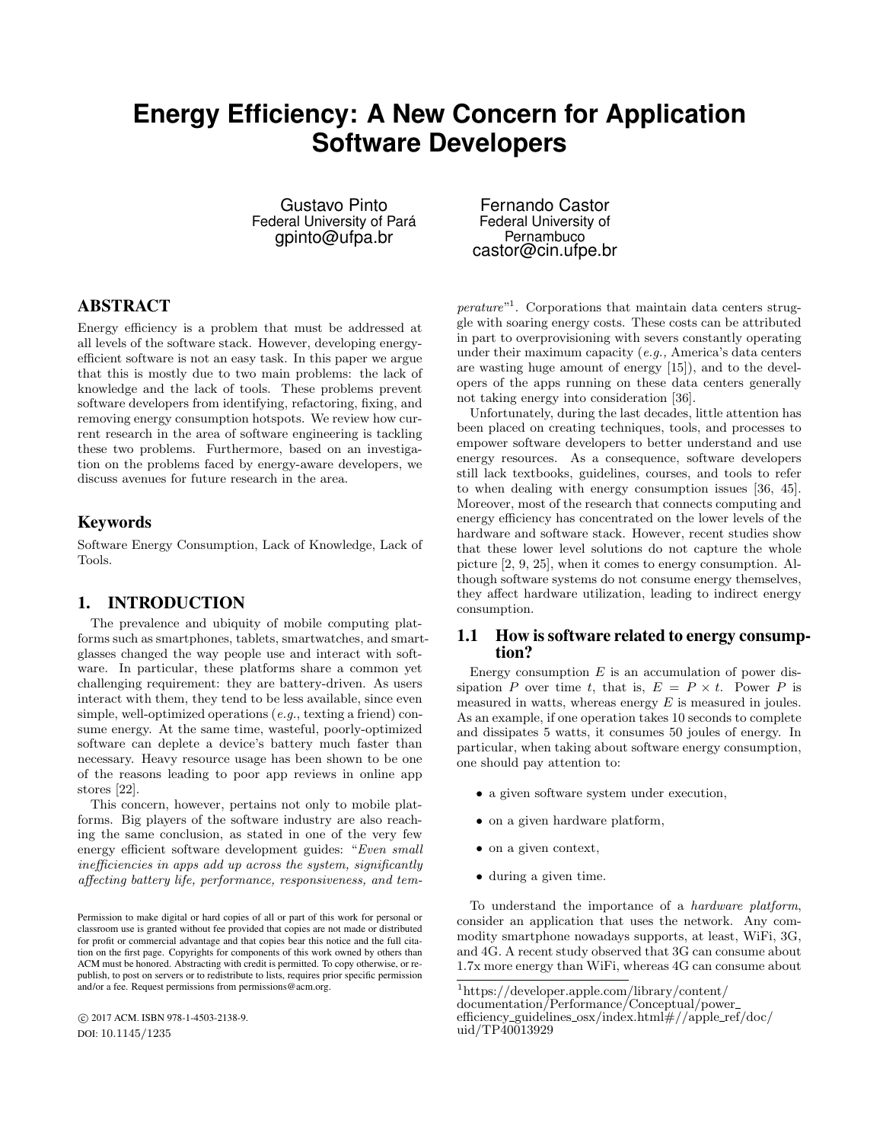# **Energy Efficiency: A New Concern for Application Software Developers**

Gustavo Pinto Federal University of Pará gpinto@ufpa.br

# ABSTRACT

Energy efficiency is a problem that must be addressed at all levels of the software stack. However, developing energyefficient software is not an easy task. In this paper we argue that this is mostly due to two main problems: the lack of knowledge and the lack of tools. These problems prevent software developers from identifying, refactoring, fixing, and removing energy consumption hotspots. We review how current research in the area of software engineering is tackling these two problems. Furthermore, based on an investigation on the problems faced by energy-aware developers, we discuss avenues for future research in the area.

# Keywords

Software Energy Consumption, Lack of Knowledge, Lack of Tools.

# 1. INTRODUCTION

The prevalence and ubiquity of mobile computing platforms such as smartphones, tablets, smartwatches, and smartglasses changed the way people use and interact with software. In particular, these platforms share a common yet challenging requirement: they are battery-driven. As users interact with them, they tend to be less available, since even simple, well-optimized operations (e.g., texting a friend) consume energy. At the same time, wasteful, poorly-optimized software can deplete a device's battery much faster than necessary. Heavy resource usage has been shown to be one of the reasons leading to poor app reviews in online app stores [22].

This concern, however, pertains not only to mobile platforms. Big players of the software industry are also reaching the same conclusion, as stated in one of the very few energy efficient software development guides: "Even small inefficiencies in apps add up across the system, significantly affecting battery life, performance, responsiveness, and tem-

 c 2017 ACM. ISBN 978-1-4503-2138-9. DOI: 10.1145/1235

Fernando Castor Federal University of Pernambuco castor@cin.ufpe.br

perature"<sup>1</sup>. Corporations that maintain data centers struggle with soaring energy costs. These costs can be attributed in part to overprovisioning with severs constantly operating under their maximum capacity (e.g., America's data centers are wasting huge amount of energy [15]), and to the developers of the apps running on these data centers generally not taking energy into consideration [36].

Unfortunately, during the last decades, little attention has been placed on creating techniques, tools, and processes to empower software developers to better understand and use energy resources. As a consequence, software developers still lack textbooks, guidelines, courses, and tools to refer to when dealing with energy consumption issues [36, 45]. Moreover, most of the research that connects computing and energy efficiency has concentrated on the lower levels of the hardware and software stack. However, recent studies show that these lower level solutions do not capture the whole picture [2, 9, 25], when it comes to energy consumption. Although software systems do not consume energy themselves, they affect hardware utilization, leading to indirect energy consumption.

#### 1.1 How is software related to energy consumption?

Energy consumption  $E$  is an accumulation of power dissipation P over time t, that is,  $E = P \times t$ . Power P is measured in watts, whereas energy  $E$  is measured in joules. As an example, if one operation takes 10 seconds to complete and dissipates 5 watts, it consumes 50 joules of energy. In particular, when taking about software energy consumption, one should pay attention to:

- a given software system under execution,
- on a given hardware platform,
- on a given context,
- during a given time.

To understand the importance of a hardware platform, consider an application that uses the network. Any commodity smartphone nowadays supports, at least, WiFi, 3G, and 4G. A recent study observed that 3G can consume about 1.7x more energy than WiFi, whereas 4G can consume about

Permission to make digital or hard copies of all or part of this work for personal or classroom use is granted without fee provided that copies are not made or distributed for profit or commercial advantage and that copies bear this notice and the full citation on the first page. Copyrights for components of this work owned by others than ACM must be honored. Abstracting with credit is permitted. To copy otherwise, or republish, to post on servers or to redistribute to lists, requires prior specific permission and/or a fee. Request permissions from permissions@acm.org.

<sup>1</sup>https://developer.apple.com/library/content/

documentation/Performance/Conceptual/power

efficiency guidelines osx/index.html#//apple ref/doc/ uid/TP40013929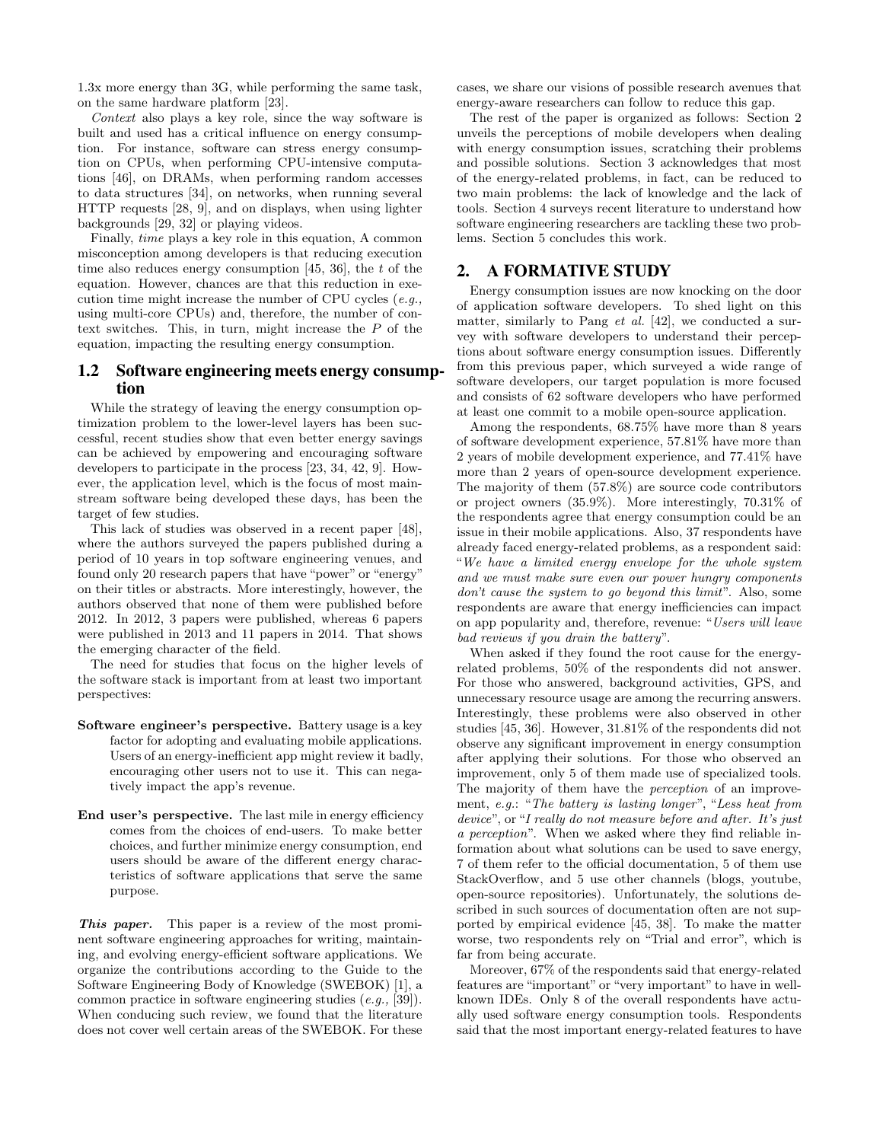1.3x more energy than 3G, while performing the same task, on the same hardware platform [23].

Context also plays a key role, since the way software is built and used has a critical influence on energy consumption. For instance, software can stress energy consumption on CPUs, when performing CPU-intensive computations [46], on DRAMs, when performing random accesses to data structures [34], on networks, when running several HTTP requests [28, 9], and on displays, when using lighter backgrounds [29, 32] or playing videos.

Finally, time plays a key role in this equation, A common misconception among developers is that reducing execution time also reduces energy consumption  $[45, 36]$ , the t of the equation. However, chances are that this reduction in execution time might increase the number of CPU cycles (e.g., using multi-core CPUs) and, therefore, the number of context switches. This, in turn, might increase the P of the equation, impacting the resulting energy consumption.

# 1.2 Software engineering meets energy consumption

While the strategy of leaving the energy consumption optimization problem to the lower-level layers has been successful, recent studies show that even better energy savings can be achieved by empowering and encouraging software developers to participate in the process [23, 34, 42, 9]. However, the application level, which is the focus of most mainstream software being developed these days, has been the target of few studies.

This lack of studies was observed in a recent paper [48], where the authors surveyed the papers published during a period of 10 years in top software engineering venues, and found only 20 research papers that have "power" or "energy" on their titles or abstracts. More interestingly, however, the authors observed that none of them were published before 2012. In 2012, 3 papers were published, whereas 6 papers were published in 2013 and 11 papers in 2014. That shows the emerging character of the field.

The need for studies that focus on the higher levels of the software stack is important from at least two important perspectives:

- Software engineer's perspective. Battery usage is a key factor for adopting and evaluating mobile applications. Users of an energy-inefficient app might review it badly, encouraging other users not to use it. This can negatively impact the app's revenue.
- End user's perspective. The last mile in energy efficiency comes from the choices of end-users. To make better choices, and further minimize energy consumption, end users should be aware of the different energy characteristics of software applications that serve the same purpose.

This paper. This paper is a review of the most prominent software engineering approaches for writing, maintaining, and evolving energy-efficient software applications. We organize the contributions according to the Guide to the Software Engineering Body of Knowledge (SWEBOK) [1], a common practice in software engineering studies (e.g., [39]). When conducing such review, we found that the literature does not cover well certain areas of the SWEBOK. For these cases, we share our visions of possible research avenues that energy-aware researchers can follow to reduce this gap.

The rest of the paper is organized as follows: Section 2 unveils the perceptions of mobile developers when dealing with energy consumption issues, scratching their problems and possible solutions. Section 3 acknowledges that most of the energy-related problems, in fact, can be reduced to two main problems: the lack of knowledge and the lack of tools. Section 4 surveys recent literature to understand how software engineering researchers are tackling these two problems. Section 5 concludes this work.

## 2. A FORMATIVE STUDY

Energy consumption issues are now knocking on the door of application software developers. To shed light on this matter, similarly to Pang *et al.* [42], we conducted a survey with software developers to understand their perceptions about software energy consumption issues. Differently from this previous paper, which surveyed a wide range of software developers, our target population is more focused and consists of 62 software developers who have performed at least one commit to a mobile open-source application.

Among the respondents, 68.75% have more than 8 years of software development experience, 57.81% have more than 2 years of mobile development experience, and 77.41% have more than 2 years of open-source development experience. The majority of them (57.8%) are source code contributors or project owners (35.9%). More interestingly, 70.31% of the respondents agree that energy consumption could be an issue in their mobile applications. Also, 37 respondents have already faced energy-related problems, as a respondent said: "We have a limited energy envelope for the whole system and we must make sure even our power hungry components don't cause the system to go beyond this limit". Also, some respondents are aware that energy inefficiencies can impact on app popularity and, therefore, revenue: "Users will leave bad reviews if you drain the battery".

When asked if they found the root cause for the energyrelated problems, 50% of the respondents did not answer. For those who answered, background activities, GPS, and unnecessary resource usage are among the recurring answers. Interestingly, these problems were also observed in other studies [45, 36]. However, 31.81% of the respondents did not observe any significant improvement in energy consumption after applying their solutions. For those who observed an improvement, only 5 of them made use of specialized tools. The majority of them have the perception of an improvement, e.g.: "The battery is lasting longer", "Less heat from device", or "I really do not measure before and after. It's just a perception". When we asked where they find reliable information about what solutions can be used to save energy, 7 of them refer to the official documentation, 5 of them use StackOverflow, and 5 use other channels (blogs, youtube, open-source repositories). Unfortunately, the solutions described in such sources of documentation often are not supported by empirical evidence [45, 38]. To make the matter worse, two respondents rely on "Trial and error", which is far from being accurate.

Moreover, 67% of the respondents said that energy-related features are "important" or "very important" to have in wellknown IDEs. Only 8 of the overall respondents have actually used software energy consumption tools. Respondents said that the most important energy-related features to have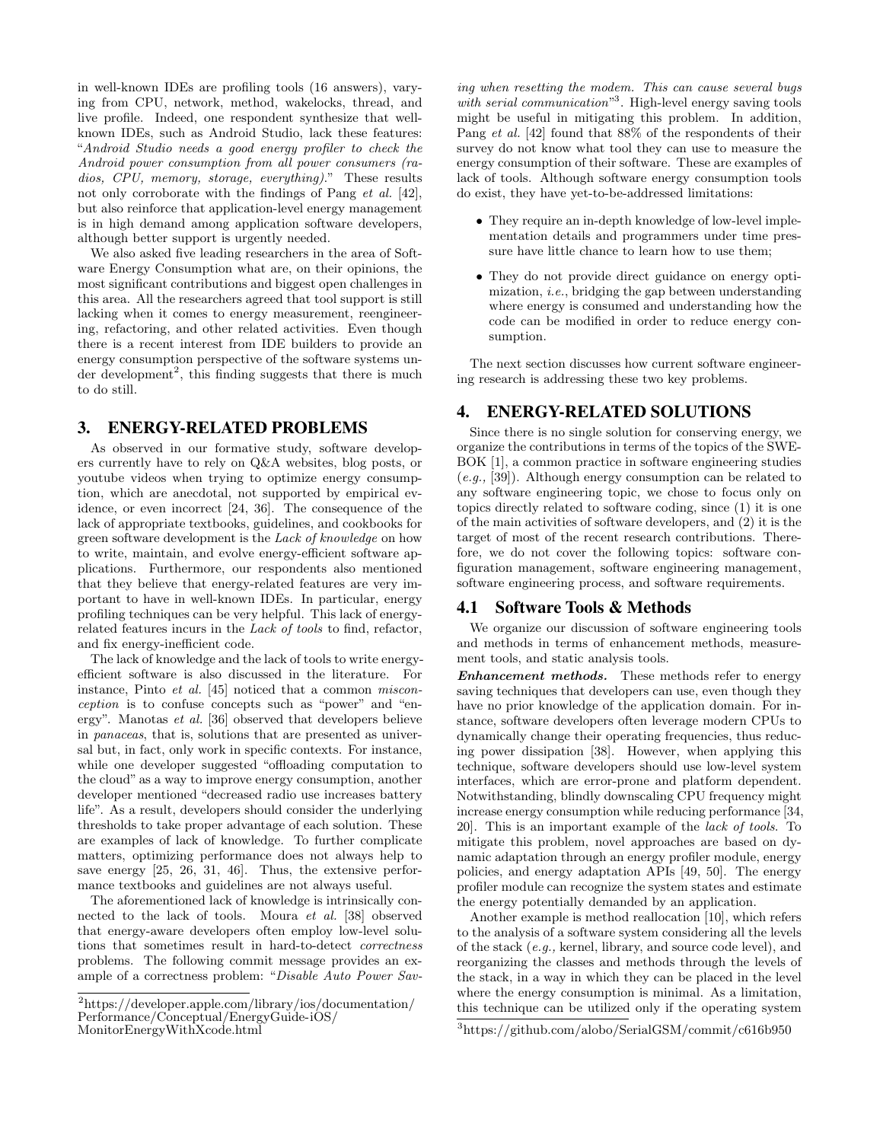in well-known IDEs are profiling tools (16 answers), varying from CPU, network, method, wakelocks, thread, and live profile. Indeed, one respondent synthesize that wellknown IDEs, such as Android Studio, lack these features: "Android Studio needs a good energy profiler to check the Android power consumption from all power consumers (radios, CPU, memory, storage, everything)." These results not only corroborate with the findings of Pang *et al.* [42], but also reinforce that application-level energy management is in high demand among application software developers, although better support is urgently needed.

We also asked five leading researchers in the area of Software Energy Consumption what are, on their opinions, the most significant contributions and biggest open challenges in this area. All the researchers agreed that tool support is still lacking when it comes to energy measurement, reengineering, refactoring, and other related activities. Even though there is a recent interest from IDE builders to provide an energy consumption perspective of the software systems under development<sup>2</sup>, this finding suggests that there is much to do still.

## 3. ENERGY-RELATED PROBLEMS

As observed in our formative study, software developers currently have to rely on Q&A websites, blog posts, or youtube videos when trying to optimize energy consumption, which are anecdotal, not supported by empirical evidence, or even incorrect [24, 36]. The consequence of the lack of appropriate textbooks, guidelines, and cookbooks for green software development is the Lack of knowledge on how to write, maintain, and evolve energy-efficient software applications. Furthermore, our respondents also mentioned that they believe that energy-related features are very important to have in well-known IDEs. In particular, energy profiling techniques can be very helpful. This lack of energyrelated features incurs in the Lack of tools to find, refactor, and fix energy-inefficient code.

The lack of knowledge and the lack of tools to write energyefficient software is also discussed in the literature. For instance, Pinto et al. [45] noticed that a common misconception is to confuse concepts such as "power" and "energy". Manotas et al. [36] observed that developers believe in panaceas, that is, solutions that are presented as universal but, in fact, only work in specific contexts. For instance, while one developer suggested "offloading computation to the cloud" as a way to improve energy consumption, another developer mentioned "decreased radio use increases battery life". As a result, developers should consider the underlying thresholds to take proper advantage of each solution. These are examples of lack of knowledge. To further complicate matters, optimizing performance does not always help to save energy [25, 26, 31, 46]. Thus, the extensive performance textbooks and guidelines are not always useful.

The aforementioned lack of knowledge is intrinsically connected to the lack of tools. Moura et al. [38] observed that energy-aware developers often employ low-level solutions that sometimes result in hard-to-detect correctness problems. The following commit message provides an example of a correctness problem: "Disable Auto Power Sav-

ing when resetting the modem. This can cause several bugs with serial communication<sup>3</sup>. High-level energy saving tools might be useful in mitigating this problem. In addition, Pang et al. [42] found that 88% of the respondents of their survey do not know what tool they can use to measure the energy consumption of their software. These are examples of lack of tools. Although software energy consumption tools do exist, they have yet-to-be-addressed limitations:

- They require an in-depth knowledge of low-level implementation details and programmers under time pressure have little chance to learn how to use them;
- They do not provide direct guidance on energy optimization, i.e., bridging the gap between understanding where energy is consumed and understanding how the code can be modified in order to reduce energy consumption.

The next section discusses how current software engineering research is addressing these two key problems.

## 4. ENERGY-RELATED SOLUTIONS

Since there is no single solution for conserving energy, we organize the contributions in terms of the topics of the SWE-BOK [1], a common practice in software engineering studies (e.g., [39]). Although energy consumption can be related to any software engineering topic, we chose to focus only on topics directly related to software coding, since (1) it is one of the main activities of software developers, and (2) it is the target of most of the recent research contributions. Therefore, we do not cover the following topics: software configuration management, software engineering management, software engineering process, and software requirements.

#### 4.1 Software Tools & Methods

We organize our discussion of software engineering tools and methods in terms of enhancement methods, measurement tools, and static analysis tools.

Enhancement methods. These methods refer to energy saving techniques that developers can use, even though they have no prior knowledge of the application domain. For instance, software developers often leverage modern CPUs to dynamically change their operating frequencies, thus reducing power dissipation [38]. However, when applying this technique, software developers should use low-level system interfaces, which are error-prone and platform dependent. Notwithstanding, blindly downscaling CPU frequency might increase energy consumption while reducing performance [34, 20]. This is an important example of the lack of tools. To mitigate this problem, novel approaches are based on dynamic adaptation through an energy profiler module, energy policies, and energy adaptation APIs [49, 50]. The energy profiler module can recognize the system states and estimate the energy potentially demanded by an application.

Another example is method reallocation [10], which refers to the analysis of a software system considering all the levels of the stack (e.g., kernel, library, and source code level), and reorganizing the classes and methods through the levels of the stack, in a way in which they can be placed in the level where the energy consumption is minimal. As a limitation, this technique can be utilized only if the operating system

 $^2$ https://developer.apple.com/library/ios/documentation/ Performance/Conceptual/EnergyGuide-iOS/ MonitorEnergyWithXcode.html

<sup>3</sup>https://github.com/alobo/SerialGSM/commit/c616b950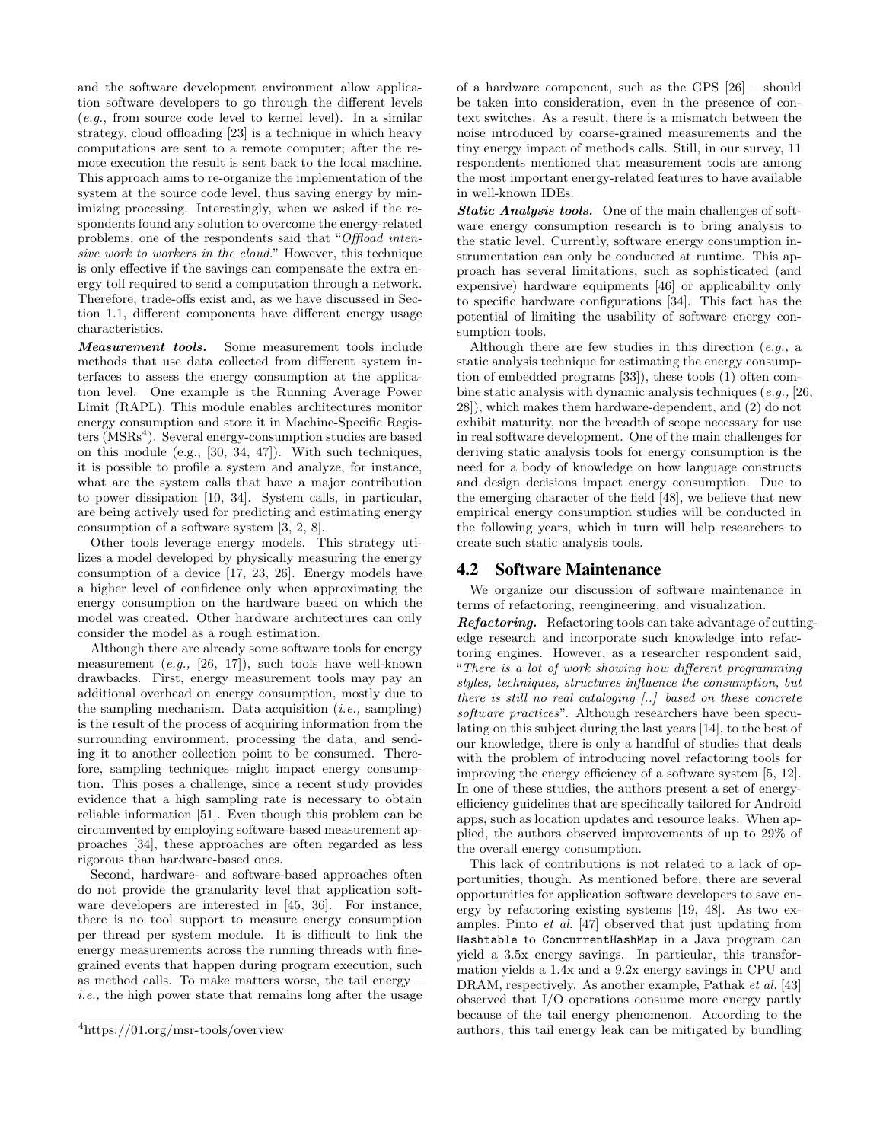and the software development environment allow application software developers to go through the different levels  $(e.g., from source code level to kernel level). In a similar$ strategy, cloud offloading [23] is a technique in which heavy computations are sent to a remote computer; after the remote execution the result is sent back to the local machine. This approach aims to re-organize the implementation of the system at the source code level, thus saving energy by minimizing processing. Interestingly, when we asked if the respondents found any solution to overcome the energy-related problems, one of the respondents said that "Offload intensive work to workers in the cloud." However, this technique is only effective if the savings can compensate the extra energy toll required to send a computation through a network. Therefore, trade-offs exist and, as we have discussed in Section 1.1, different components have different energy usage characteristics.

Measurement tools. Some measurement tools include methods that use data collected from different system interfaces to assess the energy consumption at the application level. One example is the Running Average Power Limit (RAPL). This module enables architectures monitor energy consumption and store it in Machine-Specific Registers (MSRs<sup>4</sup>). Several energy-consumption studies are based on this module (e.g., [30, 34, 47]). With such techniques, it is possible to profile a system and analyze, for instance, what are the system calls that have a major contribution to power dissipation [10, 34]. System calls, in particular, are being actively used for predicting and estimating energy consumption of a software system [3, 2, 8].

Other tools leverage energy models. This strategy utilizes a model developed by physically measuring the energy consumption of a device [17, 23, 26]. Energy models have a higher level of confidence only when approximating the energy consumption on the hardware based on which the model was created. Other hardware architectures can only consider the model as a rough estimation.

Although there are already some software tools for energy measurement  $(e.g., [26, 17])$ , such tools have well-known drawbacks. First, energy measurement tools may pay an additional overhead on energy consumption, mostly due to the sampling mechanism. Data acquisition  $(i.e., sampling)$ is the result of the process of acquiring information from the surrounding environment, processing the data, and sending it to another collection point to be consumed. Therefore, sampling techniques might impact energy consumption. This poses a challenge, since a recent study provides evidence that a high sampling rate is necessary to obtain reliable information [51]. Even though this problem can be circumvented by employing software-based measurement approaches [34], these approaches are often regarded as less rigorous than hardware-based ones.

Second, hardware- and software-based approaches often do not provide the granularity level that application software developers are interested in [45, 36]. For instance, there is no tool support to measure energy consumption per thread per system module. It is difficult to link the energy measurements across the running threads with finegrained events that happen during program execution, such as method calls. To make matters worse, the tail energy – i.e., the high power state that remains long after the usage of a hardware component, such as the GPS [26] – should be taken into consideration, even in the presence of context switches. As a result, there is a mismatch between the noise introduced by coarse-grained measurements and the tiny energy impact of methods calls. Still, in our survey, 11 respondents mentioned that measurement tools are among the most important energy-related features to have available in well-known IDEs.

Static Analysis tools. One of the main challenges of software energy consumption research is to bring analysis to the static level. Currently, software energy consumption instrumentation can only be conducted at runtime. This approach has several limitations, such as sophisticated (and expensive) hardware equipments [46] or applicability only to specific hardware configurations [34]. This fact has the potential of limiting the usability of software energy consumption tools.

Although there are few studies in this direction  $(e.g., a$ static analysis technique for estimating the energy consumption of embedded programs [33]), these tools (1) often combine static analysis with dynamic analysis techniques  $(e.g., [26,$ 28]), which makes them hardware-dependent, and (2) do not exhibit maturity, nor the breadth of scope necessary for use in real software development. One of the main challenges for deriving static analysis tools for energy consumption is the need for a body of knowledge on how language constructs and design decisions impact energy consumption. Due to the emerging character of the field [48], we believe that new empirical energy consumption studies will be conducted in the following years, which in turn will help researchers to create such static analysis tools.

#### 4.2 Software Maintenance

We organize our discussion of software maintenance in terms of refactoring, reengineering, and visualization.

Refactoring. Refactoring tools can take advantage of cuttingedge research and incorporate such knowledge into refactoring engines. However, as a researcher respondent said, "There is a lot of work showing how different programming styles, techniques, structures influence the consumption, but there is still no real cataloging [..] based on these concrete software practices". Although researchers have been speculating on this subject during the last years [14], to the best of our knowledge, there is only a handful of studies that deals with the problem of introducing novel refactoring tools for improving the energy efficiency of a software system [5, 12]. In one of these studies, the authors present a set of energyefficiency guidelines that are specifically tailored for Android apps, such as location updates and resource leaks. When applied, the authors observed improvements of up to 29% of the overall energy consumption.

This lack of contributions is not related to a lack of opportunities, though. As mentioned before, there are several opportunities for application software developers to save energy by refactoring existing systems [19, 48]. As two examples, Pinto et al. [47] observed that just updating from Hashtable to ConcurrentHashMap in a Java program can yield a 3.5x energy savings. In particular, this transformation yields a 1.4x and a 9.2x energy savings in CPU and DRAM, respectively. As another example, Pathak *et al.* [43] observed that I/O operations consume more energy partly because of the tail energy phenomenon. According to the authors, this tail energy leak can be mitigated by bundling

<sup>4</sup>https://01.org/msr-tools/overview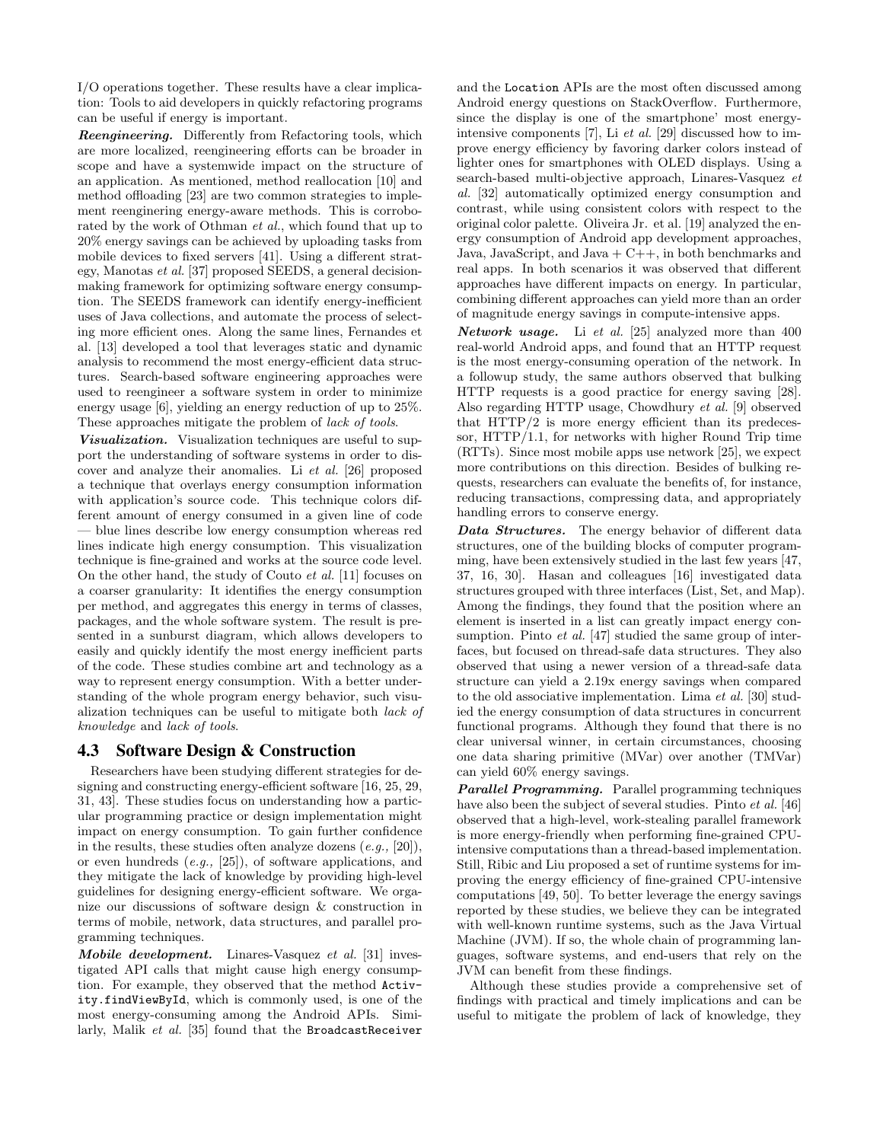I/O operations together. These results have a clear implication: Tools to aid developers in quickly refactoring programs can be useful if energy is important.

Reengineering. Differently from Refactoring tools, which are more localized, reengineering efforts can be broader in scope and have a systemwide impact on the structure of an application. As mentioned, method reallocation [10] and method offloading [23] are two common strategies to implement reenginering energy-aware methods. This is corroborated by the work of Othman *et al.*, which found that up to 20% energy savings can be achieved by uploading tasks from mobile devices to fixed servers [41]. Using a different strategy, Manotas et al. [37] proposed SEEDS, a general decisionmaking framework for optimizing software energy consumption. The SEEDS framework can identify energy-inefficient uses of Java collections, and automate the process of selecting more efficient ones. Along the same lines, Fernandes et al. [13] developed a tool that leverages static and dynamic analysis to recommend the most energy-efficient data structures. Search-based software engineering approaches were used to reengineer a software system in order to minimize energy usage [6], yielding an energy reduction of up to 25%. These approaches mitigate the problem of lack of tools.

Visualization. Visualization techniques are useful to support the understanding of software systems in order to discover and analyze their anomalies. Li et al. [26] proposed a technique that overlays energy consumption information with application's source code. This technique colors different amount of energy consumed in a given line of code — blue lines describe low energy consumption whereas red lines indicate high energy consumption. This visualization technique is fine-grained and works at the source code level. On the other hand, the study of Couto et al. [11] focuses on a coarser granularity: It identifies the energy consumption per method, and aggregates this energy in terms of classes, packages, and the whole software system. The result is presented in a sunburst diagram, which allows developers to easily and quickly identify the most energy inefficient parts of the code. These studies combine art and technology as a way to represent energy consumption. With a better understanding of the whole program energy behavior, such visualization techniques can be useful to mitigate both lack of knowledge and lack of tools.

#### 4.3 Software Design & Construction

Researchers have been studying different strategies for designing and constructing energy-efficient software [16, 25, 29, 31, 43]. These studies focus on understanding how a particular programming practice or design implementation might impact on energy consumption. To gain further confidence in the results, these studies often analyze dozens  $(e.g., [20]),$ or even hundreds (e.g., [25]), of software applications, and they mitigate the lack of knowledge by providing high-level guidelines for designing energy-efficient software. We organize our discussions of software design & construction in terms of mobile, network, data structures, and parallel programming techniques.

Mobile development. Linares-Vasquez et al. [31] investigated API calls that might cause high energy consumption. For example, they observed that the method Activity.findViewById, which is commonly used, is one of the most energy-consuming among the Android APIs. Similarly, Malik et al. [35] found that the BroadcastReceiver and the Location APIs are the most often discussed among Android energy questions on StackOverflow. Furthermore, since the display is one of the smartphone' most energyintensive components [7], Li et al. [29] discussed how to improve energy efficiency by favoring darker colors instead of lighter ones for smartphones with OLED displays. Using a search-based multi-objective approach, Linares-Vasquez et al. [32] automatically optimized energy consumption and contrast, while using consistent colors with respect to the original color palette. Oliveira Jr. et al. [19] analyzed the energy consumption of Android app development approaches, Java, JavaScript, and Java  $+ C++$ , in both benchmarks and real apps. In both scenarios it was observed that different approaches have different impacts on energy. In particular, combining different approaches can yield more than an order of magnitude energy savings in compute-intensive apps.

**Network usage.** Li et al. [25] analyzed more than  $400$ real-world Android apps, and found that an HTTP request is the most energy-consuming operation of the network. In a followup study, the same authors observed that bulking HTTP requests is a good practice for energy saving [28]. Also regarding HTTP usage, Chowdhury et al. [9] observed that HTTP/2 is more energy efficient than its predecessor, HTTP/1.1, for networks with higher Round Trip time (RTTs). Since most mobile apps use network [25], we expect more contributions on this direction. Besides of bulking requests, researchers can evaluate the benefits of, for instance, reducing transactions, compressing data, and appropriately handling errors to conserve energy.

Data Structures. The energy behavior of different data structures, one of the building blocks of computer programming, have been extensively studied in the last few years [47, 37, 16, 30]. Hasan and colleagues [16] investigated data structures grouped with three interfaces (List, Set, and Map). Among the findings, they found that the position where an element is inserted in a list can greatly impact energy consumption. Pinto *et al.* [47] studied the same group of interfaces, but focused on thread-safe data structures. They also observed that using a newer version of a thread-safe data structure can yield a 2.19x energy savings when compared to the old associative implementation. Lima et al. [30] studied the energy consumption of data structures in concurrent functional programs. Although they found that there is no clear universal winner, in certain circumstances, choosing one data sharing primitive (MVar) over another (TMVar) can yield 60% energy savings.

Parallel Programming. Parallel programming techniques have also been the subject of several studies. Pinto *et al.* [46] observed that a high-level, work-stealing parallel framework is more energy-friendly when performing fine-grained CPUintensive computations than a thread-based implementation. Still, Ribic and Liu proposed a set of runtime systems for improving the energy efficiency of fine-grained CPU-intensive computations [49, 50]. To better leverage the energy savings reported by these studies, we believe they can be integrated with well-known runtime systems, such as the Java Virtual Machine (JVM). If so, the whole chain of programming languages, software systems, and end-users that rely on the JVM can benefit from these findings.

Although these studies provide a comprehensive set of findings with practical and timely implications and can be useful to mitigate the problem of lack of knowledge, they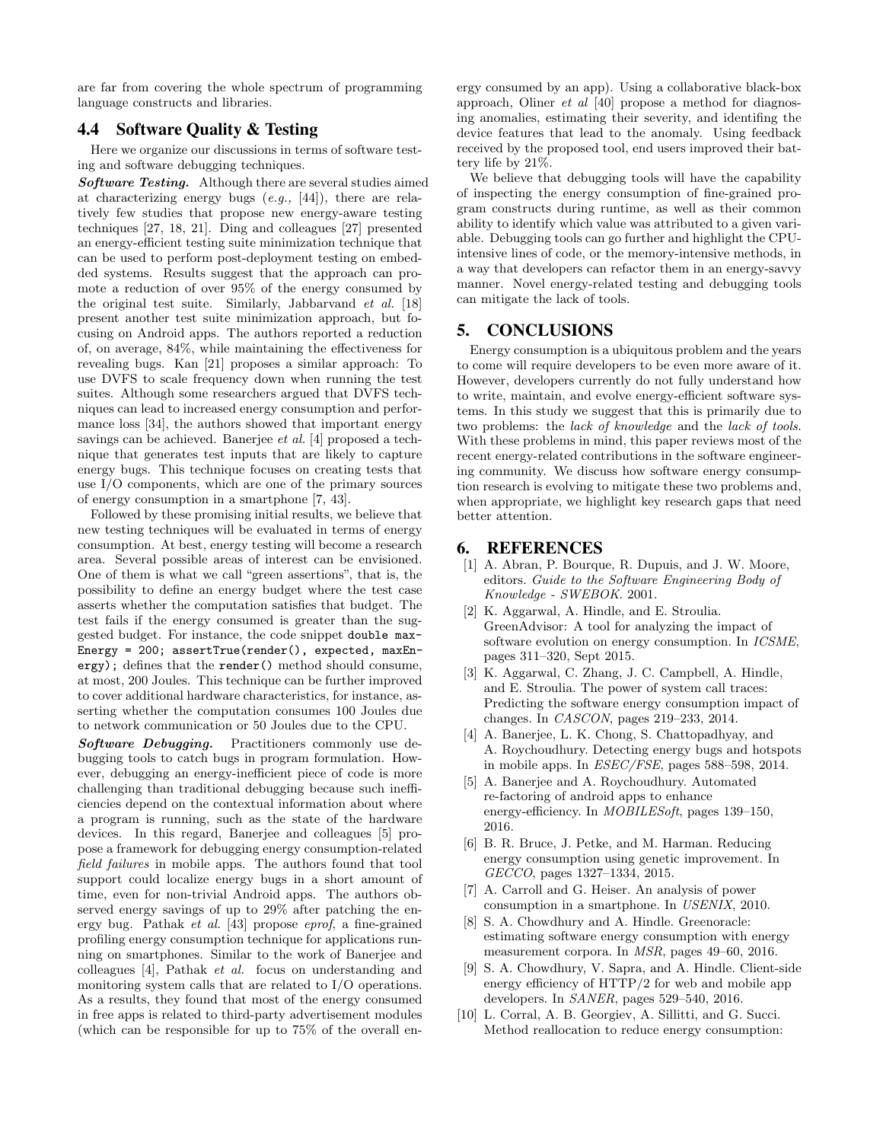are far from covering the whole spectrum of programming language constructs and libraries.

# 4.4 Software Quality & Testing

Here we organize our discussions in terms of software testing and software debugging techniques.

Software Testing. Although there are several studies aimed at characterizing energy bugs  $(e.g., [44])$ , there are relatively few studies that propose new energy-aware testing techniques [27, 18, 21]. Ding and colleagues [27] presented an energy-efficient testing suite minimization technique that can be used to perform post-deployment testing on embedded systems. Results suggest that the approach can promote a reduction of over 95% of the energy consumed by the original test suite. Similarly, Jabbarvand et al. [18] present another test suite minimization approach, but focusing on Android apps. The authors reported a reduction of, on average, 84%, while maintaining the effectiveness for revealing bugs. Kan [21] proposes a similar approach: To use DVFS to scale frequency down when running the test suites. Although some researchers argued that DVFS techniques can lead to increased energy consumption and performance loss [34], the authors showed that important energy savings can be achieved. Banerjee *et al.* [4] proposed a technique that generates test inputs that are likely to capture energy bugs. This technique focuses on creating tests that use I/O components, which are one of the primary sources of energy consumption in a smartphone [7, 43].

Followed by these promising initial results, we believe that new testing techniques will be evaluated in terms of energy consumption. At best, energy testing will become a research area. Several possible areas of interest can be envisioned. One of them is what we call "green assertions", that is, the possibility to define an energy budget where the test case asserts whether the computation satisfies that budget. The test fails if the energy consumed is greater than the suggested budget. For instance, the code snippet double max-Energy = 200; assertTrue(render(), expected, maxEnergy); defines that the render() method should consume, at most, 200 Joules. This technique can be further improved to cover additional hardware characteristics, for instance, asserting whether the computation consumes 100 Joules due to network communication or 50 Joules due to the CPU.

Software Debugging. Practitioners commonly use debugging tools to catch bugs in program formulation. However, debugging an energy-inefficient piece of code is more challenging than traditional debugging because such inefficiencies depend on the contextual information about where a program is running, such as the state of the hardware devices. In this regard, Banerjee and colleagues [5] propose a framework for debugging energy consumption-related field failures in mobile apps. The authors found that tool support could localize energy bugs in a short amount of time, even for non-trivial Android apps. The authors observed energy savings of up to 29% after patching the energy bug. Pathak et al. [43] propose eprof, a fine-grained profiling energy consumption technique for applications running on smartphones. Similar to the work of Banerjee and colleagues [4], Pathak et al. focus on understanding and monitoring system calls that are related to I/O operations. As a results, they found that most of the energy consumed in free apps is related to third-party advertisement modules (which can be responsible for up to 75% of the overall energy consumed by an app). Using a collaborative black-box approach, Oliner et al [40] propose a method for diagnosing anomalies, estimating their severity, and identifing the device features that lead to the anomaly. Using feedback received by the proposed tool, end users improved their battery life by 21%.

We believe that debugging tools will have the capability of inspecting the energy consumption of fine-grained program constructs during runtime, as well as their common ability to identify which value was attributed to a given variable. Debugging tools can go further and highlight the CPUintensive lines of code, or the memory-intensive methods, in a way that developers can refactor them in an energy-savvy manner. Novel energy-related testing and debugging tools can mitigate the lack of tools.

# 5. CONCLUSIONS

Energy consumption is a ubiquitous problem and the years to come will require developers to be even more aware of it. However, developers currently do not fully understand how to write, maintain, and evolve energy-efficient software systems. In this study we suggest that this is primarily due to two problems: the lack of knowledge and the lack of tools. With these problems in mind, this paper reviews most of the recent energy-related contributions in the software engineering community. We discuss how software energy consumption research is evolving to mitigate these two problems and, when appropriate, we highlight key research gaps that need better attention.

## 6. REFERENCES

- [1] A. Abran, P. Bourque, R. Dupuis, and J. W. Moore, editors. Guide to the Software Engineering Body of Knowledge - SWEBOK. 2001.
- [2] K. Aggarwal, A. Hindle, and E. Stroulia. GreenAdvisor: A tool for analyzing the impact of software evolution on energy consumption. In ICSME, pages 311–320, Sept 2015.
- [3] K. Aggarwal, C. Zhang, J. C. Campbell, A. Hindle, and E. Stroulia. The power of system call traces: Predicting the software energy consumption impact of changes. In CASCON, pages 219–233, 2014.
- [4] A. Banerjee, L. K. Chong, S. Chattopadhyay, and A. Roychoudhury. Detecting energy bugs and hotspots in mobile apps. In ESEC/FSE, pages 588–598, 2014.
- [5] A. Banerjee and A. Roychoudhury. Automated re-factoring of android apps to enhance energy-efficiency. In MOBILESoft, pages 139–150, 2016.
- [6] B. R. Bruce, J. Petke, and M. Harman. Reducing energy consumption using genetic improvement. In GECCO, pages 1327–1334, 2015.
- [7] A. Carroll and G. Heiser. An analysis of power consumption in a smartphone. In USENIX, 2010.
- [8] S. A. Chowdhury and A. Hindle. Greenoracle: estimating software energy consumption with energy measurement corpora. In MSR, pages 49–60, 2016.
- [9] S. A. Chowdhury, V. Sapra, and A. Hindle. Client-side energy efficiency of HTTP/2 for web and mobile app developers. In SANER, pages 529–540, 2016.
- [10] L. Corral, A. B. Georgiev, A. Sillitti, and G. Succi. Method reallocation to reduce energy consumption: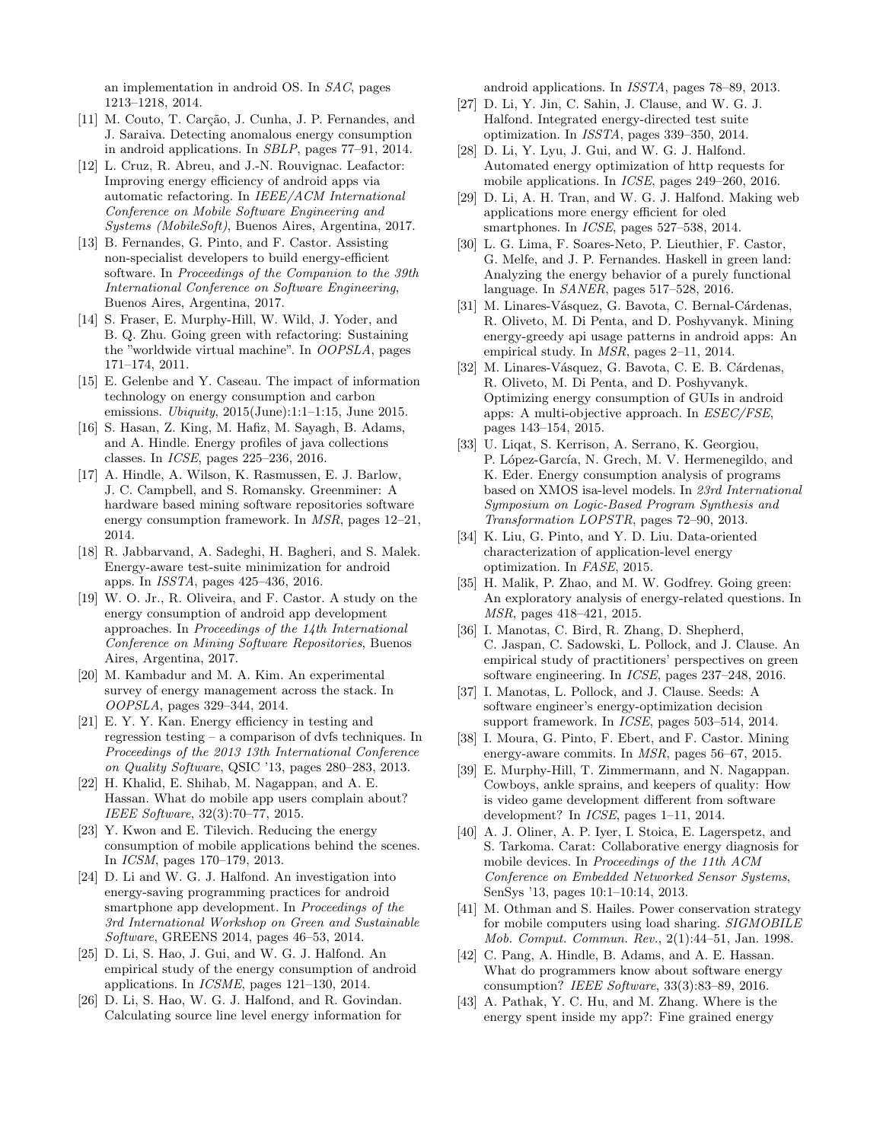an implementation in android OS. In SAC, pages 1213–1218, 2014.

- [11] M. Couto, T. Carção, J. Cunha, J. P. Fernandes, and J. Saraiva. Detecting anomalous energy consumption in android applications. In SBLP, pages 77–91, 2014.
- [12] L. Cruz, R. Abreu, and J.-N. Rouvignac. Leafactor: Improving energy efficiency of android apps via automatic refactoring. In IEEE/ACM International Conference on Mobile Software Engineering and Systems (MobileSoft), Buenos Aires, Argentina, 2017.
- [13] B. Fernandes, G. Pinto, and F. Castor. Assisting non-specialist developers to build energy-efficient software. In Proceedings of the Companion to the 39th International Conference on Software Engineering, Buenos Aires, Argentina, 2017.
- [14] S. Fraser, E. Murphy-Hill, W. Wild, J. Yoder, and B. Q. Zhu. Going green with refactoring: Sustaining the "worldwide virtual machine". In OOPSLA, pages 171–174, 2011.
- [15] E. Gelenbe and Y. Caseau. The impact of information technology on energy consumption and carbon emissions. Ubiquity, 2015(June):1:1–1:15, June 2015.
- [16] S. Hasan, Z. King, M. Hafiz, M. Sayagh, B. Adams, and A. Hindle. Energy profiles of java collections classes. In ICSE, pages 225–236, 2016.
- [17] A. Hindle, A. Wilson, K. Rasmussen, E. J. Barlow, J. C. Campbell, and S. Romansky. Greenminer: A hardware based mining software repositories software energy consumption framework. In MSR, pages 12–21, 2014.
- [18] R. Jabbarvand, A. Sadeghi, H. Bagheri, and S. Malek. Energy-aware test-suite minimization for android apps. In ISSTA, pages 425–436, 2016.
- [19] W. O. Jr., R. Oliveira, and F. Castor. A study on the energy consumption of android app development approaches. In Proceedings of the 14th International Conference on Mining Software Repositories, Buenos Aires, Argentina, 2017.
- [20] M. Kambadur and M. A. Kim. An experimental survey of energy management across the stack. In OOPSLA, pages 329–344, 2014.
- [21] E. Y. Y. Kan. Energy efficiency in testing and regression testing – a comparison of dvfs techniques. In Proceedings of the 2013 13th International Conference on Quality Software, QSIC '13, pages 280–283, 2013.
- [22] H. Khalid, E. Shihab, M. Nagappan, and A. E. Hassan. What do mobile app users complain about? IEEE Software, 32(3):70–77, 2015.
- [23] Y. Kwon and E. Tilevich. Reducing the energy consumption of mobile applications behind the scenes. In ICSM, pages 170–179, 2013.
- [24] D. Li and W. G. J. Halfond. An investigation into energy-saving programming practices for android smartphone app development. In Proceedings of the 3rd International Workshop on Green and Sustainable Software, GREENS 2014, pages 46–53, 2014.
- [25] D. Li, S. Hao, J. Gui, and W. G. J. Halfond. An empirical study of the energy consumption of android applications. In ICSME, pages 121–130, 2014.
- [26] D. Li, S. Hao, W. G. J. Halfond, and R. Govindan. Calculating source line level energy information for

android applications. In ISSTA, pages 78–89, 2013.

- [27] D. Li, Y. Jin, C. Sahin, J. Clause, and W. G. J. Halfond. Integrated energy-directed test suite optimization. In ISSTA, pages 339–350, 2014.
- [28] D. Li, Y. Lyu, J. Gui, and W. G. J. Halfond. Automated energy optimization of http requests for mobile applications. In ICSE, pages 249–260, 2016.
- [29] D. Li, A. H. Tran, and W. G. J. Halfond. Making web applications more energy efficient for oled smartphones. In *ICSE*, pages 527–538, 2014.
- [30] L. G. Lima, F. Soares-Neto, P. Lieuthier, F. Castor, G. Melfe, and J. P. Fernandes. Haskell in green land: Analyzing the energy behavior of a purely functional language. In SANER, pages 517–528, 2016.
- [31] M. Linares-Vásquez, G. Bavota, C. Bernal-Cárdenas, R. Oliveto, M. Di Penta, and D. Poshyvanyk. Mining energy-greedy api usage patterns in android apps: An empirical study. In MSR, pages 2–11, 2014.
- [32] M. Linares-Vásquez, G. Bavota, C. E. B. Cárdenas, R. Oliveto, M. Di Penta, and D. Poshyvanyk. Optimizing energy consumption of GUIs in android apps: A multi-objective approach. In ESEC/FSE, pages 143–154, 2015.
- [33] U. Liqat, S. Kerrison, A. Serrano, K. Georgiou, P. López-García, N. Grech, M. V. Hermenegildo, and K. Eder. Energy consumption analysis of programs based on XMOS isa-level models. In 23rd International Symposium on Logic-Based Program Synthesis and Transformation LOPSTR, pages 72–90, 2013.
- [34] K. Liu, G. Pinto, and Y. D. Liu. Data-oriented characterization of application-level energy optimization. In FASE, 2015.
- [35] H. Malik, P. Zhao, and M. W. Godfrey. Going green: An exploratory analysis of energy-related questions. In MSR, pages 418–421, 2015.
- [36] I. Manotas, C. Bird, R. Zhang, D. Shepherd, C. Jaspan, C. Sadowski, L. Pollock, and J. Clause. An empirical study of practitioners' perspectives on green software engineering. In ICSE, pages 237–248, 2016.
- [37] I. Manotas, L. Pollock, and J. Clause. Seeds: A software engineer's energy-optimization decision support framework. In ICSE, pages 503–514, 2014.
- [38] I. Moura, G. Pinto, F. Ebert, and F. Castor. Mining energy-aware commits. In MSR, pages 56–67, 2015.
- [39] E. Murphy-Hill, T. Zimmermann, and N. Nagappan. Cowboys, ankle sprains, and keepers of quality: How is video game development different from software development? In ICSE, pages 1–11, 2014.
- [40] A. J. Oliner, A. P. Iyer, I. Stoica, E. Lagerspetz, and S. Tarkoma. Carat: Collaborative energy diagnosis for mobile devices. In Proceedings of the 11th ACM Conference on Embedded Networked Sensor Systems, SenSys '13, pages 10:1–10:14, 2013.
- [41] M. Othman and S. Hailes. Power conservation strategy for mobile computers using load sharing. SIGMOBILE Mob. Comput. Commun. Rev., 2(1):44–51, Jan. 1998.
- [42] C. Pang, A. Hindle, B. Adams, and A. E. Hassan. What do programmers know about software energy consumption? IEEE Software, 33(3):83–89, 2016.
- [43] A. Pathak, Y. C. Hu, and M. Zhang. Where is the energy spent inside my app?: Fine grained energy